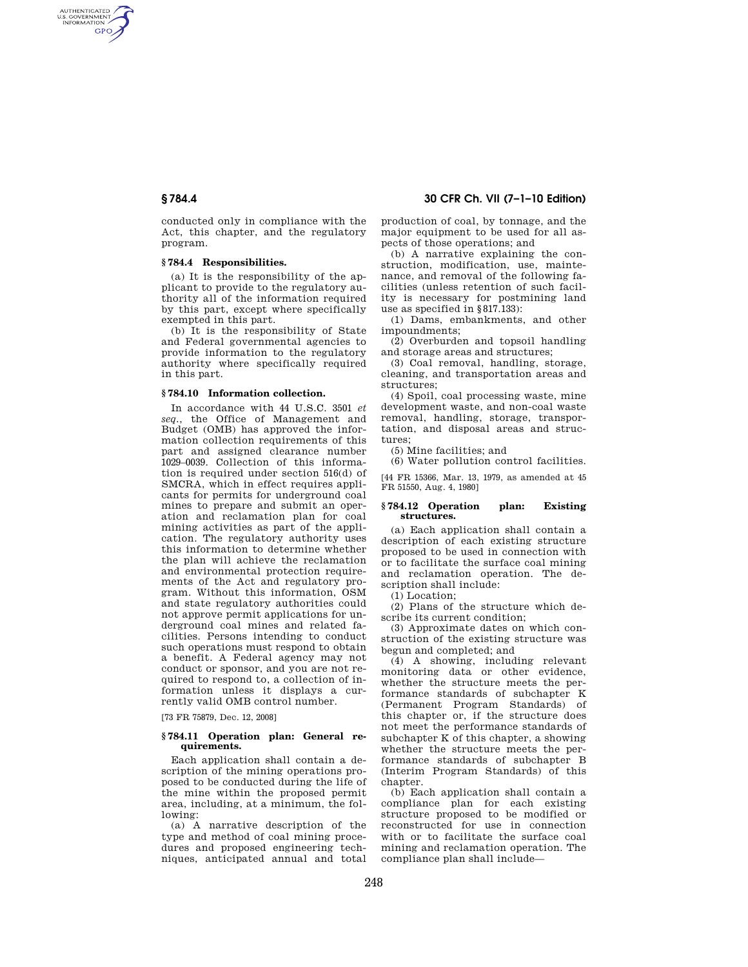AUTHENTICATED<br>U.S. GOVERNMENT<br>INFORMATION **GPO** 

> conducted only in compliance with the Act, this chapter, and the regulatory program.

## **§ 784.4 Responsibilities.**

(a) It is the responsibility of the applicant to provide to the regulatory authority all of the information required by this part, except where specifically exempted in this part.

(b) It is the responsibility of State and Federal governmental agencies to provide information to the regulatory authority where specifically required in this part.

# **§ 784.10 Information collection.**

In accordance with 44 U.S.C. 3501 *et seq.*, the Office of Management and Budget (OMB) has approved the information collection requirements of this part and assigned clearance number 1029–0039. Collection of this information is required under section 516(d) of SMCRA, which in effect requires applicants for permits for underground coal mines to prepare and submit an operation and reclamation plan for coal mining activities as part of the application. The regulatory authority uses this information to determine whether the plan will achieve the reclamation and environmental protection requirements of the Act and regulatory program. Without this information, OSM and state regulatory authorities could not approve permit applications for underground coal mines and related facilities. Persons intending to conduct such operations must respond to obtain a benefit. A Federal agency may not conduct or sponsor, and you are not required to respond to, a collection of information unless it displays a currently valid OMB control number.

[73 FR 75879, Dec. 12, 2008]

## **§ 784.11 Operation plan: General requirements.**

Each application shall contain a description of the mining operations proposed to be conducted during the life of the mine within the proposed permit area, including, at a minimum, the following:

(a) A narrative description of the type and method of coal mining procedures and proposed engineering techniques, anticipated annual and total

# **§ 784.4 30 CFR Ch. VII (7–1–10 Edition)**

production of coal, by tonnage, and the major equipment to be used for all aspects of those operations; and

(b) A narrative explaining the construction, modification, use, maintenance, and removal of the following facilities (unless retention of such facility is necessary for postmining land use as specified in §817.133):

(1) Dams, embankments, and other impoundments;

(2) Overburden and topsoil handling and storage areas and structures;

(3) Coal removal, handling, storage, cleaning, and transportation areas and structures;

(4) Spoil, coal processing waste, mine development waste, and non-coal waste removal, handling, storage, transportation, and disposal areas and structures;

(5) Mine facilities; and

(6) Water pollution control facilities. [44 FR 15366, Mar. 13, 1979, as amended at 45 FR 51550, Aug. 4, 1980]

### **§ 784.12 Operation plan: Existing structures.**

(a) Each application shall contain a description of each existing structure proposed to be used in connection with or to facilitate the surface coal mining and reclamation operation. The description shall include:

(1) Location;

(2) Plans of the structure which describe its current condition;

(3) Approximate dates on which construction of the existing structure was begun and completed; and

(4) A showing, including relevant monitoring data or other evidence, whether the structure meets the performance standards of subchapter K (Permanent Program Standards) of this chapter or, if the structure does not meet the performance standards of subchapter K of this chapter, a showing whether the structure meets the performance standards of subchapter B (Interim Program Standards) of this chapter.

(b) Each application shall contain a compliance plan for each existing structure proposed to be modified or reconstructed for use in connection with or to facilitate the surface coal mining and reclamation operation. The compliance plan shall include—